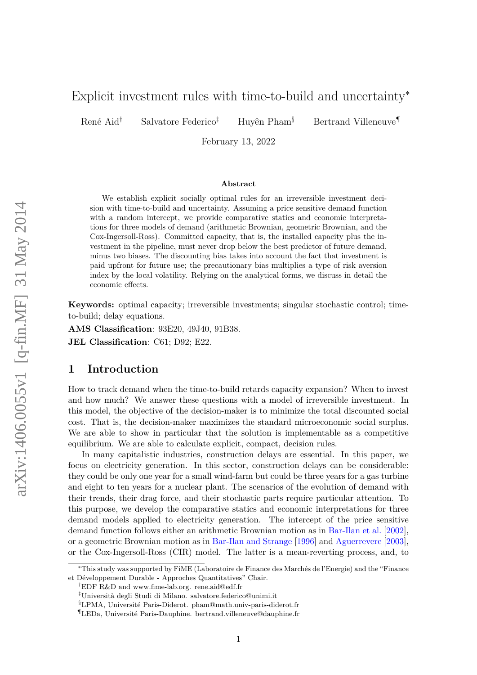# Explicit investment rules with time-to-build and uncertainty<sup>∗</sup>

René Aid<sup>†</sup> Salvatore Federico<sup>‡</sup> Huyên Pham<sup>§</sup> Bertrand Villeneuve<sup>¶</sup>

February 13, 2022

#### **Abstract**

We establish explicit socially optimal rules for an irreversible investment decision with time-to-build and uncertainty. Assuming a price sensitive demand function with a random intercept, we provide comparative statics and economic interpretations for three models of demand (arithmetic Brownian, geometric Brownian, and the Cox-Ingersoll-Ross). Committed capacity, that is, the installed capacity plus the investment in the pipeline, must never drop below the best predictor of future demand, minus two biases. The discounting bias takes into account the fact that investment is paid upfront for future use; the precautionary bias multiplies a type of risk aversion index by the local volatility. Relying on the analytical forms, we discuss in detail the economic effects.

**Keywords:** optimal capacity; irreversible investments; singular stochastic control; timeto-build; delay equations.

**AMS Classification**: 93E20, 49J40, 91B38.

**JEL Classification**: C61; D92; E22.

## **1 Introduction**

How to track demand when the time-to-build retards capacity expansion? When to invest and how much? We answer these questions with a model of irreversible investment. In this model, the objective of the decision-maker is to minimize the total discounted social cost. That is, the decision-maker maximizes the standard microeconomic social surplus. We are able to show in particular that the solution is implementable as a competitive equilibrium. We are able to calculate explicit, compact, decision rules.

In many capitalistic industries, construction delays are essential. In this paper, we focus on electricity generation. In this sector, construction delays can be considerable: they could be only one year for a small wind-farm but could be three years for a gas turbine and eight to ten years for a nuclear plant. The scenarios of the evolution of demand with their trends, their drag force, and their stochastic parts require particular attention. To this purpose, we develop the comparative statics and economic interpretations for three demand models applied to electricity generation. The intercept of the price sensitive demand function follows either an arithmetic Brownian motion as in [Bar-Ilan et al.](#page-18-0) [\[2002\]](#page-18-0), or a geometric Brownian motion as in [Bar-Ilan and Strange](#page-18-1) [\[1996\]](#page-18-1) and [Aguerrevere](#page-18-2) [\[2003\]](#page-18-2), or the Cox-Ingersoll-Ross (CIR) model. The latter is a mean-reverting process, and, to

<sup>∗</sup>This study was supported by FiME (Laboratoire de Finance des Marchés de l'Energie) and the "Finance et Développement Durable - Approches Quantitatives" Chair.

<sup>†</sup>EDF R&D and www.fime-lab.org. rene.aid@edf.fr

<sup>‡</sup>Università degli Studi di Milano. salvatore.federico@unimi.it

<sup>§</sup>LPMA, Université Paris-Diderot. pham@math.univ-paris-diderot.fr

<sup>¶</sup>LEDa, Université Paris-Dauphine. bertrand.villeneuve@dauphine.fr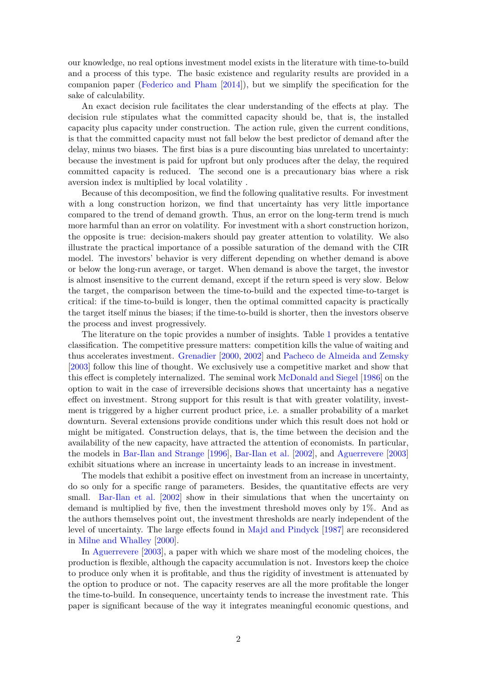our knowledge, no real options investment model exists in the literature with time-to-build and a process of this type. The basic existence and regularity results are provided in a companion paper [\(Federico and Pham](#page-18-3) [\[2014\]](#page-18-3)), but we simplify the specification for the sake of calculability.

An exact decision rule facilitates the clear understanding of the effects at play. The decision rule stipulates what the committed capacity should be, that is, the installed capacity plus capacity under construction. The action rule, given the current conditions, is that the committed capacity must not fall below the best predictor of demand after the delay, minus two biases. The first bias is a pure discounting bias unrelated to uncertainty: because the investment is paid for upfront but only produces after the delay, the required committed capacity is reduced. The second one is a precautionary bias where a risk aversion index is multiplied by local volatility .

Because of this decomposition, we find the following qualitative results. For investment with a long construction horizon, we find that uncertainty has very little importance compared to the trend of demand growth. Thus, an error on the long-term trend is much more harmful than an error on volatility. For investment with a short construction horizon, the opposite is true: decision-makers should pay greater attention to volatility. We also illustrate the practical importance of a possible saturation of the demand with the CIR model. The investors' behavior is very different depending on whether demand is above or below the long-run average, or target. When demand is above the target, the investor is almost insensitive to the current demand, except if the return speed is very slow. Below the target, the comparison between the time-to-build and the expected time-to-target is critical: if the time-to-build is longer, then the optimal committed capacity is practically the target itself minus the biases; if the time-to-build is shorter, then the investors observe the process and invest progressively.

The literature on the topic provides a number of insights. Table [1](#page-2-0) provides a tentative classification. The competitive pressure matters: competition kills the value of waiting and thus accelerates investment. [Grenadier](#page-18-4) [\[2000,](#page-18-4) [2002\]](#page-18-5) and [Pacheco de Almeida and Zemsky](#page-19-0) [\[2003\]](#page-19-0) follow this line of thought. We exclusively use a competitive market and show that this effect is completely internalized. The seminal work [McDonald and Siegel](#page-18-6) [\[1986\]](#page-18-6) on the option to wait in the case of irreversible decisions shows that uncertainty has a negative effect on investment. Strong support for this result is that with greater volatility, investment is triggered by a higher current product price, i.e. a smaller probability of a market downturn. Several extensions provide conditions under which this result does not hold or might be mitigated. Construction delays, that is, the time between the decision and the availability of the new capacity, have attracted the attention of economists. In particular, the models in [Bar-Ilan and Strange](#page-18-1) [\[1996\]](#page-18-1), [Bar-Ilan et al.](#page-18-0) [\[2002\]](#page-18-0), and [Aguerrevere](#page-18-2) [\[2003\]](#page-18-2) exhibit situations where an increase in uncertainty leads to an increase in investment.

The models that exhibit a positive effect on investment from an increase in uncertainty, do so only for a specific range of parameters. Besides, the quantitative effects are very small. [Bar-Ilan et al.](#page-18-0) [\[2002\]](#page-18-0) show in their simulations that when the uncertainty on demand is multiplied by five, then the investment threshold moves only by 1%. And as the authors themselves point out, the investment thresholds are nearly independent of the level of uncertainty. The large effects found in [Majd and Pindyck](#page-18-7) [\[1987\]](#page-18-7) are reconsidered in [Milne and Whalley](#page-18-8) [\[2000\]](#page-18-8).

In [Aguerrevere](#page-18-2) [\[2003\]](#page-18-2), a paper with which we share most of the modeling choices, the production is flexible, although the capacity accumulation is not. Investors keep the choice to produce only when it is profitable, and thus the rigidity of investment is attenuated by the option to produce or not. The capacity reserves are all the more profitable the longer the time-to-build. In consequence, uncertainty tends to increase the investment rate. This paper is significant because of the way it integrates meaningful economic questions, and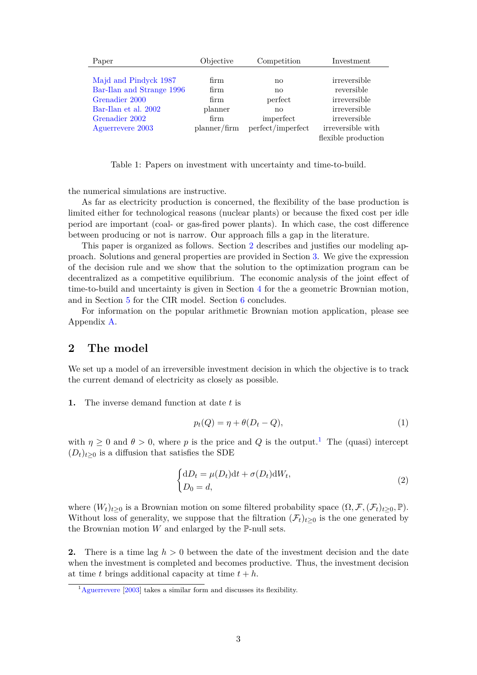| Paper                     | Objective    | Competition       | Investment          |
|---------------------------|--------------|-------------------|---------------------|
|                           |              |                   |                     |
| Majd and Pindyck 1987     | firm         | no                | irreversible        |
| Bar-Ilan and Strange 1996 | firm         | no                | reversible          |
| Grenadier 2000            | firm         | perfect           | irreversible        |
| Bar-Ilan et al. 2002      | planner      | no                | irreversible        |
| Grenadier 2002            | firm         | imperfect         | irreversible        |
| Aguerrevere 2003          | planner/firm | perfect/imperfect | irreversible with   |
|                           |              |                   | flexible production |

<span id="page-2-0"></span>Table 1: Papers on investment with uncertainty and time-to-build.

the numerical simulations are instructive.

As far as electricity production is concerned, the flexibility of the base production is limited either for technological reasons (nuclear plants) or because the fixed cost per idle period are important (coal- or gas-fired power plants). In which case, the cost difference between producing or not is narrow. Our approach fills a gap in the literature.

This paper is organized as follows. Section [2](#page-2-1) describes and justifies our modeling approach. Solutions and general properties are provided in Section [3.](#page-4-0) We give the expression of the decision rule and we show that the solution to the optimization program can be decentralized as a competitive equilibrium. The economic analysis of the joint effect of time-to-build and uncertainty is given in Section [4](#page-9-0) for the a geometric Brownian motion, and in Section [5](#page-12-0) for the CIR model. Section [6](#page-15-0) concludes.

For information on the popular arithmetic Brownian motion application, please see Appendix [A.](#page-15-1)

## <span id="page-2-1"></span>**2 The model**

We set up a model of an irreversible investment decision in which the objective is to track the current demand of electricity as closely as possible.

### **1.** The inverse demand function at date *t* is

<span id="page-2-4"></span><span id="page-2-3"></span>
$$
p_t(Q) = \eta + \theta(D_t - Q),\tag{1}
$$

with  $\eta \geq 0$  and  $\theta > 0$ , where p is the price and Q is the output.<sup>[1](#page-2-2)</sup> The (quasi) intercept  $(D_t)_{t>0}$  is a diffusion that satisfies the SDE

$$
\begin{cases} dD_t = \mu(D_t)dt + \sigma(D_t)dW_t, \\ D_0 = d, \end{cases}
$$
\n(2)

where  $(W_t)_{t>0}$  is a Brownian motion on some filtered probability space  $(\Omega, \mathcal{F}, (\mathcal{F}_t)_{t>0}, \mathbb{P})$ . Without loss of generality, we suppose that the filtration  $(\mathcal{F}_t)_{t>0}$  is the one generated by the Brownian motion  $W$  and enlarged by the  $\mathbb{P}\text{-null sets.}$ 

**2.** There is a time lag *h >* 0 between the date of the investment decision and the date when the investment is completed and becomes productive. Thus, the investment decision at time *t* brings additional capacity at time  $t + h$ .

<span id="page-2-2"></span> $1$ [Aguerrevere](#page-18-2) [\[2003\]](#page-18-2) takes a similar form and discusses its flexibility.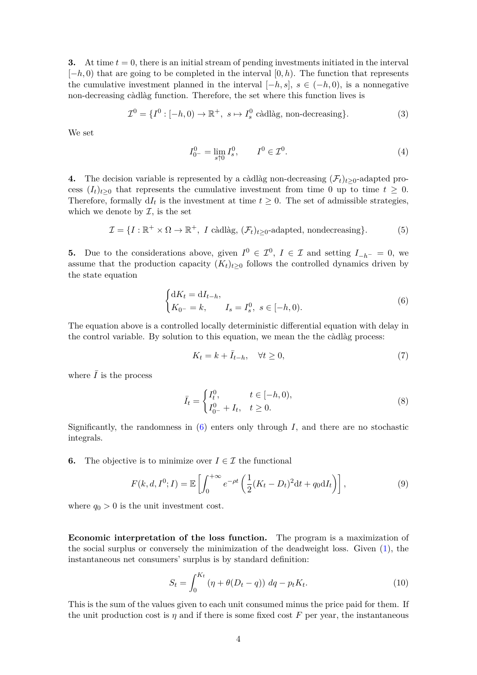**3.** At time *t* = 0, there is an initial stream of pending investments initiated in the interval [−*h,* 0) that are going to be completed in the interval [0*, h*). The function that represents the cumulative investment planned in the interval  $[-h, s]$ ,  $s \in (-h, 0)$ , is a nonnegative non-decreasing càdlàg function. Therefore, the set where this function lives is

$$
\mathcal{I}^0 = \{I^0 : [-h, 0) \to \mathbb{R}^+, \ s \mapsto I_s^0 \text{ c\`adl\`ag, non-decreasing}\}.
$$
 (3)

We set

$$
I_{0-}^{0} = \lim_{s \uparrow 0} I_s^{0}, \qquad I^{0} \in \mathcal{I}^{0}.
$$
 (4)

**4.** The decision variable is represented by a càdlàg non-decreasing  $(\mathcal{F}_t)_{t>0}$ -adapted process  $(I_t)_{t>0}$  that represents the cumulative investment from time 0 up to time  $t \geq 0$ . Therefore, formally  $dI_t$  is the investment at time  $t \geq 0$ . The set of admissible strategies, which we denote by  $\mathcal{I}$ , is the set

$$
\mathcal{I} = \{I : \mathbb{R}^+ \times \Omega \to \mathbb{R}^+, I \text{ c\`adl\`ag}, (\mathcal{F}_t)_{t \geq 0} \text{-adapted, nondecreasing}\}.
$$
 (5)

**5.** Due to the considerations above, given  $I^0 \in \mathcal{I}^0$ ,  $I \in \mathcal{I}$  and setting  $I_{-h^-} = 0$ , we assume that the production capacity  $(K_t)_{t>0}$  follows the controlled dynamics driven by the state equation

$$
\begin{cases} dK_t = dI_{t-h}, \\ K_{0^-} = k, \end{cases} I_s = I_s^0, \ s \in [-h, 0). \tag{6}
$$

The equation above is a controlled locally deterministic differential equation with delay in the control variable. By solution to this equation, we mean the the càdlàg process:

<span id="page-3-0"></span>
$$
K_t = k + \bar{I}_{t-h}, \quad \forall t \ge 0,
$$
\n<sup>(7)</sup>

where  $\bar{I}$  is the process

<span id="page-3-1"></span>
$$
\bar{I}_t = \begin{cases} I_t^0, & t \in [-h, 0), \\ I_{0^-}^0 + I_t, & t \ge 0. \end{cases}
$$
 (8)

Significantly, the randomness in  $(6)$  enters only through  $I$ , and there are no stochastic integrals.

**6.** The objective is to minimize over  $I \in \mathcal{I}$  the functional

$$
F(k, d, I^{0}; I) = \mathbb{E}\left[\int_{0}^{+\infty} e^{-\rho t} \left(\frac{1}{2}(K_{t} - D_{t})^{2} dt + q_{0} dI_{t}\right)\right],
$$
\n(9)

where  $q_0 > 0$  is the unit investment cost.

**Economic interpretation of the loss function.** The program is a maximization of the social surplus or conversely the minimization of the deadweight loss. Given [\(1\)](#page-2-3), the instantaneous net consumers' surplus is by standard definition:

$$
S_t = \int_0^{K_t} (\eta + \theta (D_t - q)) \, dq - p_t K_t.
$$
 (10)

This is the sum of the values given to each unit consumed minus the price paid for them. If the unit production cost is  $\eta$  and if there is some fixed cost F per year, the instantaneous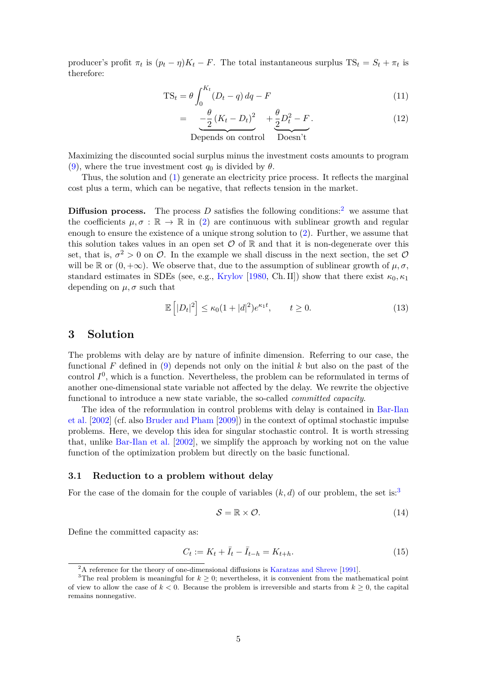producer's profit  $\pi_t$  is  $(p_t - \eta)K_t - F$ . The total instantaneous surplus  $TS_t = S_t + \pi_t$  is therefore:

$$
TS_t = \theta \int_0^{K_t} (D_t - q) dq - F \tag{11}
$$

$$
= \frac{-\frac{\theta}{2}(K_t - D_t)^2}{\frac{\theta}{2}} + \frac{\frac{\theta}{2}D_t^2 - F}{\frac{\theta}{2}}.
$$
 (12)

Depends on control Doesn't

Maximizing the discounted social surplus minus the investment costs amounts to program [\(9\)](#page-3-1), where the true investment cost  $q_0$  is divided by  $\theta$ .

Thus, the solution and [\(1\)](#page-2-3) generate an electricity price process. It reflects the marginal cost plus a term, which can be negative, that reflects tension in the market.

**Diffusion process.** The process  $D$  satisfies the following conditions:<sup>[2](#page-4-1)</sup> we assume that the coefficients  $\mu, \sigma : \mathbb{R} \to \mathbb{R}$  in [\(2\)](#page-2-4) are continuous with sublinear growth and regular enough to ensure the existence of a unique strong solution to [\(2\)](#page-2-4). Further, we assume that this solution takes values in an open set  $\mathcal O$  of  $\mathbb R$  and that it is non-degenerate over this set, that is,  $\sigma^2 > 0$  on  $\mathcal{O}$ . In the example we shall discuss in the next section, the set  $\mathcal{O}$ will be R or  $(0, +\infty)$ . We observe that, due to the assumption of sublinear growth of  $\mu$ ,  $\sigma$ , standard estimates in SDEs (see, e.g., [Krylov](#page-18-9) [\[1980,](#page-18-9) Ch. II]) show that there exist  $\kappa_0, \kappa_1$ depending on  $\mu$ ,  $\sigma$  such that

<span id="page-4-3"></span>
$$
\mathbb{E}\left[|D_t|^2\right] \le \kappa_0 (1+|d|^2) e^{\kappa_1 t}, \qquad t \ge 0. \tag{13}
$$

## <span id="page-4-0"></span>**3 Solution**

The problems with delay are by nature of infinite dimension. Referring to our case, the functional *F* defined in [\(9\)](#page-3-1) depends not only on the initial *k* but also on the past of the control  $I^0$ , which is a function. Nevertheless, the problem can be reformulated in terms of another one-dimensional state variable not affected by the delay. We rewrite the objective functional to introduce a new state variable, the so-called *committed capacity*.

The idea of the reformulation in control problems with delay is contained in [Bar-Ilan](#page-18-0) [et al.](#page-18-0) [\[2002\]](#page-18-0) (cf. also [Bruder and Pham](#page-18-10) [\[2009\]](#page-18-10)) in the context of optimal stochastic impulse problems. Here, we develop this idea for singular stochastic control. It is worth stressing that, unlike [Bar-Ilan et al.](#page-18-0) [\[2002\]](#page-18-0), we simplify the approach by working not on the value function of the optimization problem but directly on the basic functional.

#### **3.1 Reduction to a problem without delay**

For the case of the domain for the couple of variables  $(k, d)$  of our problem, the set is:<sup>[3](#page-4-2)</sup>

$$
S = \mathbb{R} \times \mathcal{O}.\tag{14}
$$

Define the committed capacity as:

$$
C_t := K_t + \bar{I}_t - \bar{I}_{t-h} = K_{t+h}.
$$
\n(15)

<span id="page-4-2"></span><span id="page-4-1"></span><sup>2</sup>A reference for the theory of one-dimensional diffusions is [Karatzas and Shreve](#page-18-11) [\[1991\]](#page-18-11).

<sup>&</sup>lt;sup>3</sup>The real problem is meaningful for  $k \geq 0$ ; nevertheless, it is convenient from the mathematical point of view to allow the case of  $k < 0$ . Because the problem is irreversible and starts from  $k \geq 0$ , the capital remains nonnegative.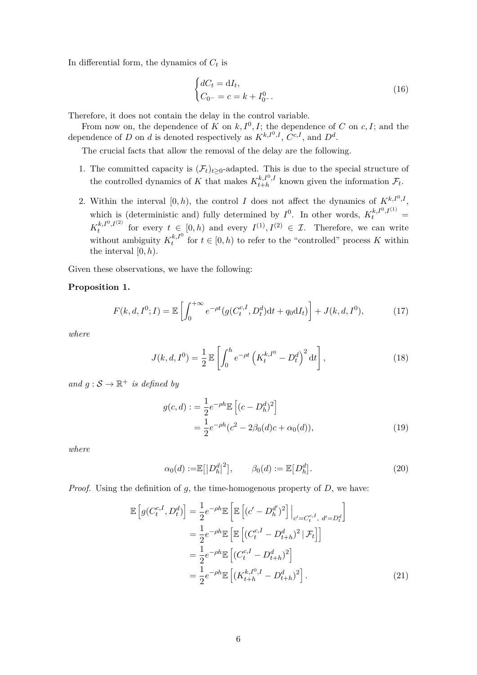In differential form, the dynamics of *C<sup>t</sup>* is

<span id="page-5-1"></span>
$$
\begin{cases} dC_t = dI_t, \\ C_{0^-} = c = k + I_{0^-}^0. \end{cases}
$$
 (16)

Therefore, it does not contain the delay in the control variable.

From now on, the dependence of *K* on  $k, I^0, I$ ; the dependence of *C* on *c*, *I*; and the dependence of *D* on *d* is denoted respectively as  $K^{k,I^0,I}$ ,  $C^{c,I}$ , and  $D^d$ .

The crucial facts that allow the removal of the delay are the following.

- 1. The committed capacity is  $(\mathcal{F}_t)_{t\geq 0}$ -adapted. This is due to the special structure of the controlled dynamics of *K* that makes  $K_{t+h}^{k, I^0, I}$  $t_{t+h}^{k,l^{\infty},l^{\infty}}$  known given the information  $\mathcal{F}_t$ .
- 2. Within the interval  $[0, h)$ , the control *I* does not affect the dynamics of  $K^{k, I^0, I}$ , which is (deterministic and) fully determined by  $I^0$ . In other words,  $K_t^{k, I^0, I^{(1)}}$  =  $K_t^{k,I^0,I^{(2)}}$  $f_t^{k, I^0, I^{(2)}}$  for every  $t \in [0, h)$  and every  $I^{(1)}, I^{(2)} \in \mathcal{I}$ . Therefore, we can write without ambiguity  $K_t^{k, I^0}$  $t^{k,l}$  for  $t \in [0,h)$  to refer to the "controlled" process *K* within the interval [0*, h*).

Given these observations, we have the following:

#### <span id="page-5-0"></span>**Proposition 1.**

$$
F(k, d, I^{0}; I) = \mathbb{E}\left[\int_{0}^{+\infty} e^{-\rho t} (g(C_t^{c, I}, D_t^d)dt + q_0 dI_t)\right] + J(k, d, I^{0}),\tag{17}
$$

*where*

$$
J(k, d, I^0) = \frac{1}{2} \mathbb{E} \left[ \int_0^h e^{-\rho t} \left( K_t^{k, I^0} - D_t^d \right)^2 dt \right],
$$
 (18)

*and*  $g : \mathcal{S} \to \mathbb{R}^+$  *is defined by* 

$$
g(c,d) := \frac{1}{2} e^{-\rho h} \mathbb{E} \left[ (c - D_h^d)^2 \right]
$$
  
= 
$$
\frac{1}{2} e^{-\rho h} (c^2 - 2\beta_0(d)c + \alpha_0(d)),
$$
 (19)

*where*

<span id="page-5-2"></span>
$$
\alpha_0(d) := \mathbb{E}\left[|D_h^d|^2\right], \qquad \beta_0(d) := \mathbb{E}\left[D_h^d\right]. \tag{20}
$$

*Proof.* Using the definition of *g*, the time-homogenous property of *D*, we have:

$$
\mathbb{E}\left[g(C_t^{c,I}, D_t^d)\right] = \frac{1}{2}e^{-\rho h}\mathbb{E}\left[\mathbb{E}\left[(c'-D_h^{d'})^2\right]\Big|_{c'=C_t^{c,I}, d'=D_t^d}\right]
$$

$$
= \frac{1}{2}e^{-\rho h}\mathbb{E}\left[\mathbb{E}\left[(C_t^{c,I} - D_{t+h}^d)^2 \,|\, \mathcal{F}_t\right]\right]
$$

$$
= \frac{1}{2}e^{-\rho h}\mathbb{E}\left[(C_t^{c,I} - D_{t+h}^d)^2\right]
$$

$$
= \frac{1}{2}e^{-\rho h}\mathbb{E}\left[(K_{t+h}^{k,I^0,I} - D_{t+h}^d)^2\right].
$$
(21)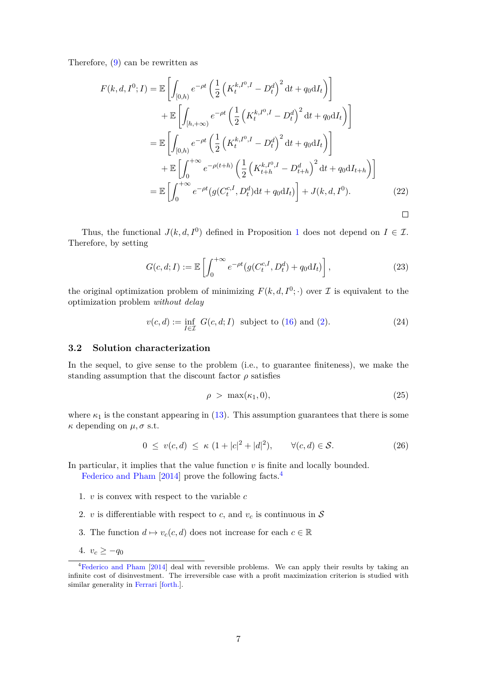Therefore, [\(9\)](#page-3-1) can be rewritten as

$$
F(k, d, I^{0}; I) = \mathbb{E}\left[\int_{[0,h)} e^{-\rho t} \left(\frac{1}{2} \left(K_t^{k,I^{0},I} - D_t^{d}\right)^{2} dt + q_0 dI_t\right)\right]
$$
  
+  $\mathbb{E}\left[\int_{[h,+\infty)} e^{-\rho t} \left(\frac{1}{2} \left(K_t^{k,I^{0},I} - D_t^{d}\right)^{2} dt + q_0 dI_t\right)\right]$   
=  $\mathbb{E}\left[\int_{[0,h)} e^{-\rho t} \left(\frac{1}{2} \left(K_t^{k,I^{0},I} - D_t^{d}\right)^{2} dt + q_0 dI_t\right)\right]$   
+  $\mathbb{E}\left[\int_0^{+\infty} e^{-\rho(t+h)} \left(\frac{1}{2} \left(K_{t+h}^{k,I^{0},I} - D_{t+h}^{d}\right)^{2} dt + q_0 dI_{t+h}\right)\right]$   
=  $\mathbb{E}\left[\int_0^{+\infty} e^{-\rho t} (g(C_t^{c,I}, D_t^{d}) dt + q_0 dI_t)\right] + J(k, d, I^{0}).$  (22)

Thus, the functional  $J(k, d, I^0)$  defined in Proposition [1](#page-5-0) does not depend on  $I \in \mathcal{I}$ . Therefore, by setting

$$
G(c, d; I) := \mathbb{E}\left[\int_0^{+\infty} e^{-\rho t} (g(C_t^{c, I}, D_t^d) + q_0 \mathrm{d}I_t)\right],
$$
\n(23)

the original optimization problem of minimizing  $F(k, d, I^0; \cdot)$  over  $\mathcal I$  is equivalent to the optimization problem *without delay*

$$
v(c,d) := \inf_{I \in \mathcal{I}} G(c,d;I) \text{ subject to (16) and (2).}
$$
 (24)

## **3.2 Solution characterization**

In the sequel, to give sense to the problem (i.e., to guarantee finiteness), we make the standing assumption that the discount factor  $\rho$  satisfies

<span id="page-6-2"></span><span id="page-6-1"></span>
$$
\rho > \max(\kappa_1, 0), \tag{25}
$$

where  $\kappa_1$  is the constant appearing in [\(13\)](#page-4-3). This assumption guarantees that there is some *κ* depending on *µ, σ* s.t.

$$
0 \le v(c,d) \le \kappa (1+|c|^2+|d|^2), \qquad \forall (c,d) \in \mathcal{S}.
$$
 (26)

In particular, it implies that the value function *v* is finite and locally bounded.

[Federico and Pham](#page-18-3) [\[2014\]](#page-18-3) prove the following facts.<sup>[4](#page-6-0)</sup>

- 1. *v* is convex with respect to the variable *c*
- 2. *v* is differentiable with respect to *c*, and  $v_c$  is continuous in S
- 3. The function  $d \mapsto v_c(c, d)$  does not increase for each  $c \in \mathbb{R}$
- 4.  $v_c \ge -q_0$

<span id="page-6-0"></span> $\sqrt[4]{\text{Federico and Pham [2014] deal with reversible problems. We can apply their results by taking an$  $\sqrt[4]{\text{Federico and Pham [2014] deal with reversible problems. We can apply their results by taking an$  $\sqrt[4]{\text{Federico and Pham [2014] deal with reversible problems. We can apply their results by taking an$  $\sqrt[4]{\text{Federico and Pham [2014] deal with reversible problems. We can apply their results by taking an$  $\sqrt[4]{\text{Federico and Pham [2014] deal with reversible problems. We can apply their results by taking an$ infinite cost of disinvestment. The irreversible case with a profit maximization criterion is studied with similar generality in [Ferrari](#page-18-12) [\[forth.\]](#page-18-12).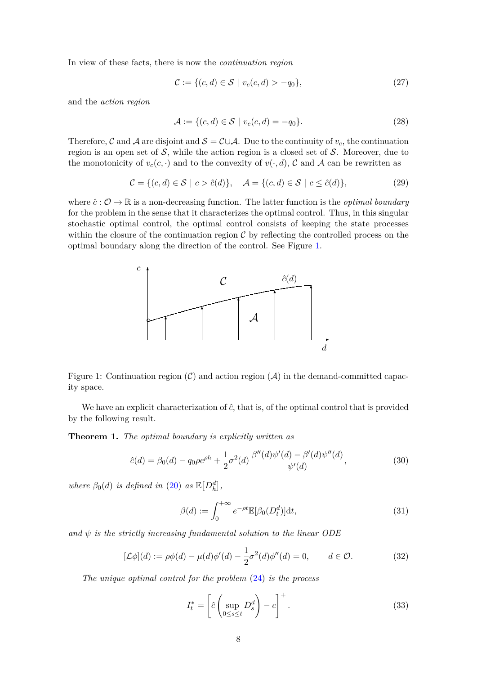In view of these facts, there is now the *continuation region*

$$
C := \{(c, d) \in S \mid v_c(c, d) > -q_0\},\tag{27}
$$

and the *action region*

$$
\mathcal{A} := \{ (c, d) \in \mathcal{S} \mid v_c(c, d) = -q_0 \}. \tag{28}
$$

Therefore, C and A are disjoint and  $S = C \cup A$ . Due to the continuity of  $v_c$ , the continuation region is an open set of  $S$ , while the action region is a closed set of  $S$ . Moreover, due to the monotonicity of  $v_c(c, \cdot)$  and to the convexity of  $v(\cdot, d)$ , C and A can be rewritten as

$$
\mathcal{C} = \{(c, d) \in \mathcal{S} \mid c > \hat{c}(d)\}, \quad \mathcal{A} = \{(c, d) \in \mathcal{S} \mid c \leq \hat{c}(d)\},\tag{29}
$$

where  $\hat{c}$  :  $\mathcal{O} \to \mathbb{R}$  is a non-decreasing function. The latter function is the *optimal boundary* for the problem in the sense that it characterizes the optimal control. Thus, in this singular stochastic optimal control, the optimal control consists of keeping the state processes within the closure of the continuation region  $C$  by reflecting the controlled process on the optimal boundary along the direction of the control. See Figure [1.](#page-7-0)



<span id="page-7-0"></span>Figure 1: Continuation region  $(C)$  and action region  $(A)$  in the demand-committed capacity space.

We have an explicit characterization of  $\hat{c}$ , that is, of the optimal control that is provided by the following result.

<span id="page-7-4"></span>**Theorem 1.** *The optimal boundary is explicitly written as*

$$
\hat{c}(d) = \beta_0(d) - q_0 \rho e^{\rho h} + \frac{1}{2} \sigma^2(d) \frac{\beta''(d)\psi'(d) - \beta'(d)\psi''(d)}{\psi'(d)},
$$
\n(30)

*where*  $\beta_0(d)$  *is defined in* [\(20\)](#page-5-2) *as*  $\mathbb{E}[D_h^d]$ ,

<span id="page-7-1"></span>
$$
\beta(d) := \int_0^{+\infty} e^{-\rho t} \mathbb{E}[\beta_0(D_t^d)] dt,
$$
\n(31)

and  $\psi$  *is the strictly increasing fundamental solution to the linear ODE* 

$$
[\mathcal{L}\phi](d) := \rho\phi(d) - \mu(d)\phi'(d) - \frac{1}{2}\sigma^2(d)\phi''(d) = 0, \qquad d \in \mathcal{O}.
$$
 (32)

*The unique optimal control for the problem* [\(24\)](#page-6-1) *is the process*

<span id="page-7-3"></span><span id="page-7-2"></span>
$$
I_t^* = \left[\hat{c}\left(\sup_{0\le s\le t} D_s^d\right) - c\right]^+.
$$
\n(33)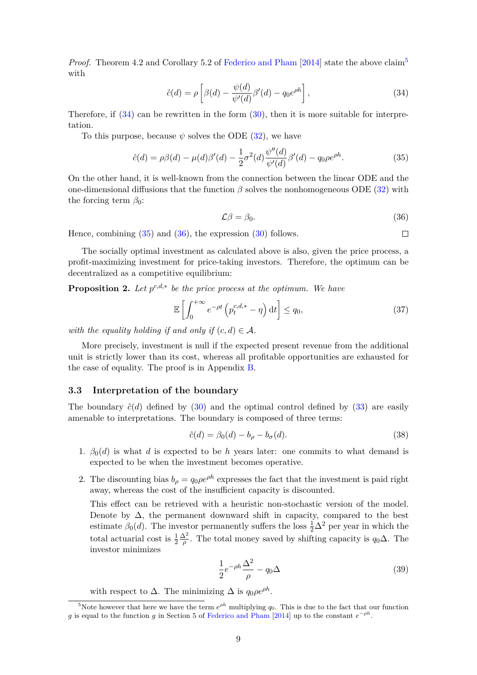*Proof.* Theorem 4.2 and Corollary 5.2 of [Federico and Pham](#page-18-3) [\[2014\]](#page-18-3) state the above claim<sup>[5](#page-8-0)</sup> with

$$
\hat{c}(d) = \rho \left[ \beta(d) - \frac{\psi(d)}{\psi'(d)} \beta'(d) - q_0 e^{\rho h} \right],\tag{34}
$$

Therefore, if  $(34)$  can be rewritten in the form  $(30)$ , then it is more suitable for interpretation.

To this purpose, because  $\psi$  solves the ODE [\(32\)](#page-7-2), we have

$$
\hat{c}(d) = \rho \beta(d) - \mu(d)\beta'(d) - \frac{1}{2}\sigma^2(d)\frac{\psi''(d)}{\psi'(d)}\beta'(d) - q_0 \rho e^{\rho h}.
$$
\n(35)

On the other hand, it is well-known from the connection between the linear ODE and the one-dimensional diffusions that the function  $\beta$  solves the nonhomogeneous ODE [\(32\)](#page-7-2) with the forcing term  $\beta_0$ :

$$
\mathcal{L}\beta = \beta_0. \tag{36}
$$

<span id="page-8-3"></span><span id="page-8-2"></span><span id="page-8-1"></span> $\Box$ 

Hence, combining  $(35)$  and  $(36)$ , the expression  $(30)$  follows.

The socially optimal investment as calculated above is also, given the price process, a profit-maximizing investment for price-taking investors. Therefore, the optimum can be decentralized as a competitive equilibrium:

<span id="page-8-4"></span>**Proposition 2.** Let  $p^{c,d,*}$  be the price process at the optimum. We have

$$
\mathbb{E}\left[\int_0^{+\infty} e^{-\rho t} \left(p_t^{c,d,*} - \eta\right) dt\right] \le q_0,\tag{37}
$$

*with the equality holding if and only if*  $(c, d) \in \mathcal{A}$ *.* 

More precisely, investment is null if the expected present revenue from the additional unit is strictly lower than its cost, whereas all profitable opportunities are exhausted for the case of equality. The proof is in Appendix [B.](#page-17-0)

#### **3.3 Interpretation of the boundary**

The boundary  $\hat{c}(d)$  defined by [\(30\)](#page-7-1) and the optimal control defined by [\(33\)](#page-7-3) are easily amenable to interpretations. The boundary is composed of three terms:

$$
\hat{c}(d) = \beta_0(d) - b_\rho - b_\sigma(d). \tag{38}
$$

- 1.  $\beta_0(d)$  is what *d* is expected to be *h* years later: one commits to what demand is expected to be when the investment becomes operative.
- 2. The discounting bias  $b_\rho = q_0 \rho e^{\rho h}$  expresses the fact that the investment is paid right away, whereas the cost of the insufficient capacity is discounted.

This effect can be retrieved with a heuristic non-stochastic version of the model. Denote by  $\Delta$ , the permanent downward shift in capacity, compared to the best estimate  $\beta_0(d)$ . The investor permanently suffers the loss  $\frac{1}{2}\Delta^2$  per year in which the total actuarial cost is  $\frac{1}{2}$  $\Delta^2$  $\frac{\Delta^2}{\rho}$ . The total money saved by shifting capacity is *q*<sub>0</sub>∆. The investor minimizes

$$
\frac{1}{2}e^{-\rho h}\frac{\Delta^2}{\rho} - q_0\Delta\tag{39}
$$

with respect to  $\Delta$ . The minimizing  $\Delta$  is  $q_0 \rho e^{\rho h}$ .

<span id="page-8-0"></span><sup>&</sup>lt;sup>5</sup>Note however that here we have the term  $e^{\rho h}$  multiplying  $q_0$ . This is due to the fact that our function *g* is equal to the function *g* in Section 5 of [Federico and Pham](#page-18-3) [\[2014\]](#page-18-3) up to the constant  $e^{-\rho h}$ .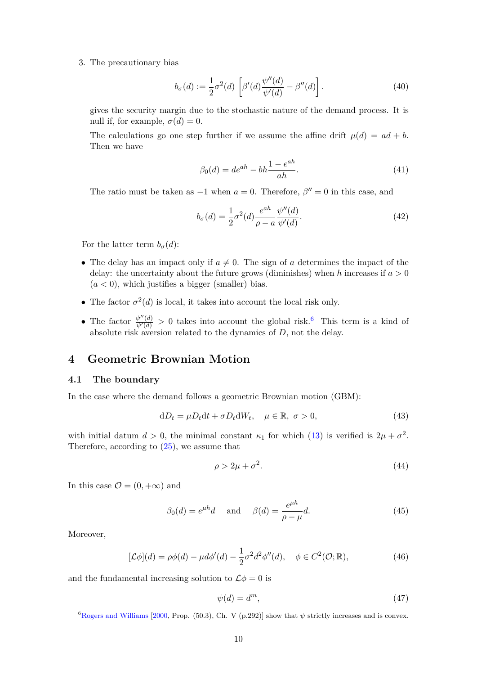3. The precautionary bias

$$
b_{\sigma}(d) := \frac{1}{2}\sigma^2(d) \left[ \beta'(d) \frac{\psi''(d)}{\psi'(d)} - \beta''(d) \right]. \tag{40}
$$

gives the security margin due to the stochastic nature of the demand process. It is null if, for example,  $\sigma(d) = 0$ .

The calculations go one step further if we assume the affine drift  $\mu(d) = ad + b$ . Then we have

$$
\beta_0(d) = de^{ah} - bh \frac{1 - e^{ah}}{ah}.
$$
\n(41)

The ratio must be taken as  $-1$  when  $a = 0$ . Therefore,  $\beta'' = 0$  in this case, and

$$
b_{\sigma}(d) = \frac{1}{2}\sigma^2(d)\frac{e^{ah}}{\rho - a}\frac{\psi''(d)}{\psi'(d)}.
$$
 (42)

For the latter term  $b_{\sigma}(d)$ :

- The delay has an impact only if  $a \neq 0$ . The sign of *a* determines the impact of the delay: the uncertainty about the future grows (diminishes) when *h* increases if  $a > 0$  $(a < 0)$ , which justifies a bigger (smaller) bias.
- The factor  $\sigma^2(d)$  is local, it takes into account the local risk only.
- The factor  $\frac{\psi''(d)}{\psi'(d)} > 0$  takes into account the global risk.<sup>[6](#page-9-1)</sup> This term is a kind of absolute risk aversion related to the dynamics of *D*, not the delay.

## <span id="page-9-0"></span>**4 Geometric Brownian Motion**

#### **4.1 The boundary**

In the case where the demand follows a geometric Brownian motion (GBM):

$$
dD_t = \mu D_t dt + \sigma D_t dW_t, \quad \mu \in \mathbb{R}, \ \sigma > 0,
$$
\n(43)

with initial datum  $d > 0$ , the minimal constant  $\kappa_1$  for which [\(13\)](#page-4-3) is verified is  $2\mu + \sigma^2$ . Therefore, according to [\(25\)](#page-6-2), we assume that

<span id="page-9-2"></span>
$$
\rho > 2\mu + \sigma^2. \tag{44}
$$

In this case  $\mathcal{O} = (0, +\infty)$  and

$$
\beta_0(d) = e^{\mu h}d \quad \text{and} \quad \beta(d) = \frac{e^{\mu h}}{\rho - \mu}d. \tag{45}
$$

Moreover,

$$
[\mathcal{L}\phi](d) = \rho\phi(d) - \mu d\phi'(d) - \frac{1}{2}\sigma^2 d^2\phi''(d), \quad \phi \in C^2(\mathcal{O}; \mathbb{R}), \tag{46}
$$

and the fundamental increasing solution to  $\mathcal{L}\phi = 0$  is

$$
\psi(d) = d^m,\tag{47}
$$

<span id="page-9-1"></span> $6Rogers$  and Williams [\[2000,](#page-19-1) Prop. (50.3), Ch. V (p.292)] show that  $\psi$  strictly increases and is convex.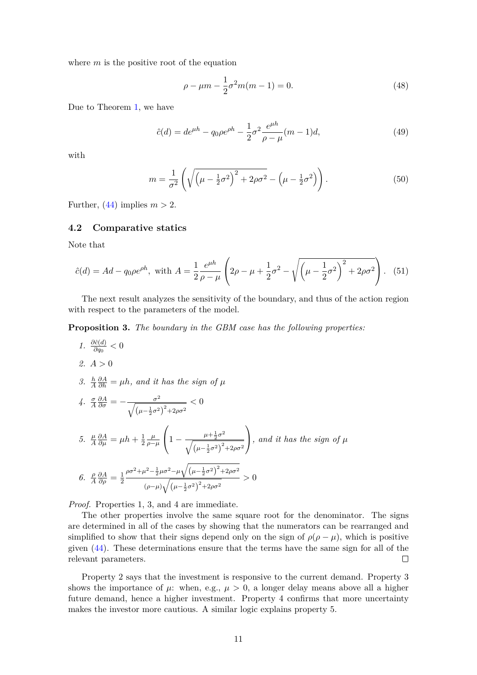where *m* is the positive root of the equation

$$
\rho - \mu m - \frac{1}{2}\sigma^2 m(m - 1) = 0.
$$
\n(48)

Due to Theorem [1,](#page-7-4) we have

$$
\hat{c}(d) = de^{\mu h} - q_0 \rho e^{\rho h} - \frac{1}{2} \sigma^2 \frac{e^{\mu h}}{\rho - \mu} (m - 1)d,
$$
\n(49)

with

$$
m = \frac{1}{\sigma^2} \left( \sqrt{\left(\mu - \frac{1}{2}\sigma^2\right)^2 + 2\rho\sigma^2} - \left(\mu - \frac{1}{2}\sigma^2\right) \right). \tag{50}
$$

Further,  $(44)$  implies  $m > 2$ .

### **4.2 Comparative statics**

Note that

$$
\hat{c}(d) = Ad - q_0 \rho e^{\rho h}, \text{ with } A = \frac{1}{2} \frac{e^{\mu h}}{\rho - \mu} \left( 2\rho - \mu + \frac{1}{2}\sigma^2 - \sqrt{\left(\mu - \frac{1}{2}\sigma^2\right)^2 + 2\rho \sigma^2} \right). \tag{51}
$$

The next result analyzes the sensitivity of the boundary, and thus of the action region with respect to the parameters of the model.

**Proposition 3.** *The boundary in the GBM case has the following properties:*

1. 
$$
\frac{\partial \hat{c}(d)}{\partial q_0} < 0
$$
\n2. 
$$
A > 0
$$

3. 
$$
\frac{h}{A} \frac{\partial A}{\partial h} = \mu h
$$
, and it has the sign of  $\mu$ 

4. 
$$
\frac{\sigma}{A} \frac{\partial A}{\partial \sigma} = -\frac{\sigma^2}{\sqrt{\left(\mu - \frac{1}{2}\sigma^2\right)^2 + 2\rho\sigma^2}} < 0
$$
  
\n5. 
$$
\frac{\mu}{A} \frac{\partial A}{\partial \mu} = \mu h + \frac{1}{2} \frac{\mu}{\rho - \mu} \left(1 - \frac{\mu + \frac{1}{2}\sigma^2}{\sqrt{\left(\mu - \frac{1}{2}\sigma^2\right)^2 + 2\rho\sigma^2}}\right), \text{ and it has the sign of } \mu
$$
  
\n6. 
$$
\frac{\rho}{A} \frac{\partial A}{\partial \rho} = \frac{1}{2} \frac{\rho \sigma^2 + \mu^2 - \frac{1}{2}\mu \sigma^2 - \mu \sqrt{\left(\mu - \frac{1}{2}\sigma^2\right)^2 + 2\rho\sigma^2}}{(\rho - \mu) \sqrt{\left(\mu - \frac{1}{2}\sigma^2\right)^2 + 2\rho\sigma^2}} > 0
$$

*Proof.* Properties 1, 3, and 4 are immediate.

The other properties involve the same square root for the denominator. The signs are determined in all of the cases by showing that the numerators can be rearranged and simplified to show that their signs depend only on the sign of  $\rho(\rho - \mu)$ , which is positive given [\(44\)](#page-9-2). These determinations ensure that the terms have the same sign for all of the relevant parameters.  $\Box$ 

Property 2 says that the investment is responsive to the current demand. Property 3 shows the importance of  $\mu$ : when, e.g.,  $\mu > 0$ , a longer delay means above all a higher future demand, hence a higher investment. Property 4 confirms that more uncertainty makes the investor more cautious. A similar logic explains property 5.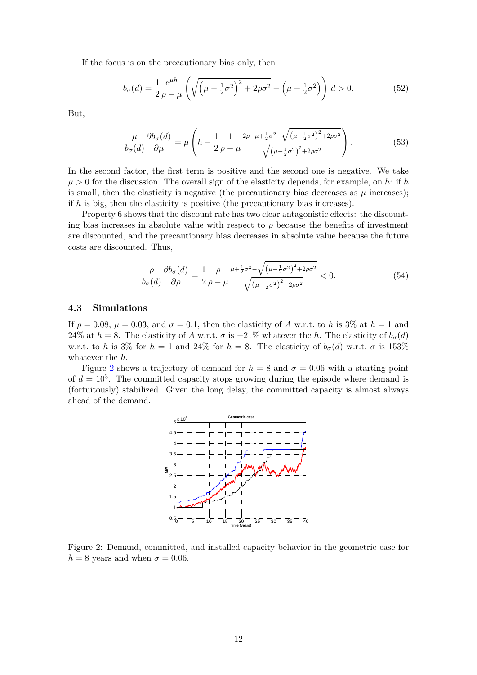If the focus is on the precautionary bias only, then

$$
b_{\sigma}(d) = \frac{1}{2} \frac{e^{\mu h}}{\rho - \mu} \left( \sqrt{\left(\mu - \frac{1}{2}\sigma^2\right)^2 + 2\rho\sigma^2} - \left(\mu + \frac{1}{2}\sigma^2\right) \right) d > 0. \tag{52}
$$

But,

$$
\frac{\mu}{b_{\sigma}(d)} \frac{\partial b_{\sigma}(d)}{\partial \mu} = \mu \left( h - \frac{1}{2} \frac{1}{\rho - \mu} \frac{2\rho - \mu + \frac{1}{2}\sigma^2 - \sqrt{(\mu - \frac{1}{2}\sigma^2)^2 + 2\rho\sigma^2}}{\sqrt{(\mu - \frac{1}{2}\sigma^2)^2 + 2\rho\sigma^2}} \right). \tag{53}
$$

In the second factor, the first term is positive and the second one is negative. We take  $\mu > 0$  for the discussion. The overall sign of the elasticity depends, for example, on *h*: if *h* is small, then the elasticity is negative (the precautionary bias decreases as  $\mu$  increases); if *h* is big, then the elasticity is positive (the precautionary bias increases).

Property 6 shows that the discount rate has two clear antagonistic effects: the discounting bias increases in absolute value with respect to  $\rho$  because the benefits of investment are discounted, and the precautionary bias decreases in absolute value because the future costs are discounted. Thus,

$$
\frac{\rho}{b_{\sigma}(d)}\frac{\partial b_{\sigma}(d)}{\partial \rho} = \frac{1}{2}\frac{\rho}{\rho - \mu}\frac{\mu + \frac{1}{2}\sigma^2 - \sqrt{(\mu - \frac{1}{2}\sigma^2)^2 + 2\rho\sigma^2}}{\sqrt{(\mu - \frac{1}{2}\sigma^2)^2 + 2\rho\sigma^2}} < 0. \tag{54}
$$

### **4.3 Simulations**

If  $\rho = 0.08$ ,  $\mu = 0.03$ , and  $\sigma = 0.1$ , then the elasticity of *A* w.r.t. to *h* is 3% at  $h = 1$  and 24% at *h* = 8. The elasticity of *A* w.r.t.  $\sigma$  is −21% whatever the *h*. The elasticity of  $b_{\sigma}(d)$ w.r.t. to *h* is 3% for  $h = 1$  and 24% for  $h = 8$ . The elasticity of  $b_{\sigma}(d)$  w.r.t.  $\sigma$  is 153% whatever the *h*.

Figure [2](#page-11-0) shows a trajectory of demand for  $h = 8$  and  $\sigma = 0.06$  with a starting point of  $d = 10<sup>3</sup>$ . The committed capacity stops growing during the episode where demand is (fortuitously) stabilized. Given the long delay, the committed capacity is almost always ahead of the demand.



<span id="page-11-0"></span>Figure 2: Demand, committed, and installed capacity behavior in the geometric case for  $h = 8$  years and when  $\sigma = 0.06$ .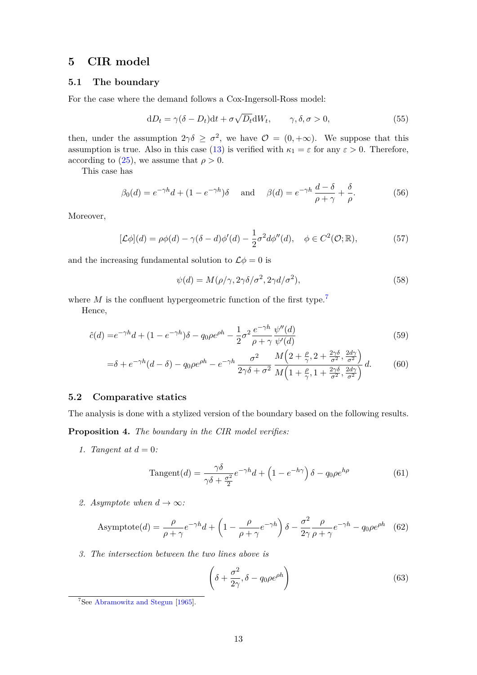## <span id="page-12-0"></span>**5 CIR model**

### **5.1 The boundary**

For the case where the demand follows a Cox-Ingersoll-Ross model:

$$
dD_t = \gamma(\delta - D_t)dt + \sigma\sqrt{D_t}dW_t, \qquad \gamma, \delta, \sigma > 0,
$$
\n(55)

then, under the assumption  $2\gamma\delta \geq \sigma^2$ , we have  $\mathcal{O} = (0, +\infty)$ . We suppose that this assumption is true. Also in this case [\(13\)](#page-4-3) is verified with  $\kappa_1 = \varepsilon$  for any  $\varepsilon > 0$ . Therefore, according to [\(25\)](#page-6-2), we assume that  $\rho > 0$ .

This case has

$$
\beta_0(d) = e^{-\gamma h}d + (1 - e^{-\gamma h})\delta \quad \text{and} \quad \beta(d) = e^{-\gamma h}\frac{d-\delta}{\rho+\gamma} + \frac{\delta}{\rho}.\tag{56}
$$

Moreover,

$$
[\mathcal{L}\phi](d) = \rho\phi(d) - \gamma(\delta - d)\phi'(d) - \frac{1}{2}\sigma^2 d\phi''(d), \quad \phi \in C^2(\mathcal{O}; \mathbb{R}), \tag{57}
$$

and the increasing fundamental solution to  $\mathcal{L}\phi = 0$  is

$$
\psi(d) = M(\rho/\gamma, 2\gamma\delta/\sigma^2, 2\gamma d/\sigma^2),\tag{58}
$$

where  $M$  is the confluent hypergeometric function of the first type.<sup>[7](#page-12-1)</sup>

Hence,

$$
\hat{c}(d) = e^{-\gamma h}d + (1 - e^{-\gamma h})\delta - q_0 \rho e^{\rho h} - \frac{1}{2}\sigma^2 \frac{e^{-\gamma h}}{\rho + \gamma} \frac{\psi''(d)}{\psi'(d)}\tag{59}
$$

$$
= \delta + e^{-\gamma h} (d - \delta) - q_0 \rho e^{\rho h} - e^{-\gamma h} \frac{\sigma^2}{2\gamma \delta + \sigma^2} \frac{M \left(2 + \frac{\rho}{\gamma}, 2 + \frac{2\gamma \delta}{\sigma^2}, \frac{2d\gamma}{\sigma^2}\right)}{M \left(1 + \frac{\rho}{\gamma}, 1 + \frac{2\gamma \delta}{\sigma^2}, \frac{2d\gamma}{\sigma^2}\right)} d. \tag{60}
$$

### **5.2 Comparative statics**

The analysis is done with a stylized version of the boundary based on the following results.

**Proposition 4.** *The boundary in the CIR model verifies:*

*1. Tangent at*  $d = 0$ *:* 

$$
\text{Tangent}(d) = \frac{\gamma \delta}{\gamma \delta + \frac{\sigma^2}{2}} e^{-\gamma h} d + \left(1 - e^{-h\gamma}\right) \delta - q_0 \rho e^{h\rho} \tag{61}
$$

2. *Asymptote when*  $d \rightarrow \infty$ *:* 

Asymptote(*d*) = 
$$
\frac{\rho}{\rho + \gamma} e^{-\gamma h} d + \left(1 - \frac{\rho}{\rho + \gamma} e^{-\gamma h}\right) \delta - \frac{\sigma^2}{2\gamma} \frac{\rho}{\rho + \gamma} e^{-\gamma h} - q_0 \rho e^{\rho h}
$$
 (62)

*3. The intersection between the two lines above is*

$$
\left(\delta + \frac{\sigma^2}{2\gamma}, \delta - q_0 \rho e^{\rho h}\right) \tag{63}
$$

<span id="page-12-1"></span><sup>7</sup>See [Abramowitz and Stegun](#page-18-13) [\[1965\]](#page-18-13).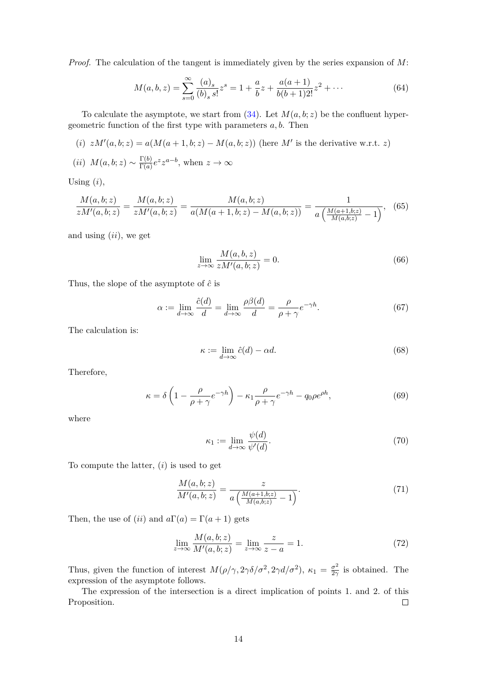*Proof.* The calculation of the tangent is immediately given by the series expansion of *M*:

$$
M(a,b,z) = \sum_{s=0}^{\infty} \frac{(a)_s}{(b)_s s!} z^s = 1 + \frac{a}{b} z + \frac{a(a+1)}{b(b+1)2!} z^2 + \cdots
$$
 (64)

To calculate the asymptote, we start from  $(34)$ . Let  $M(a, b; z)$  be the confluent hypergeometric function of the first type with parameters *a, b*. Then

(i) 
$$
zM'(a, b; z) = a(M(a+1, b; z) - M(a, b; z))
$$
 (here  $M'$  is the derivative w.r.t.  $z$ )

(*ii*) 
$$
M(a, b; z) \sim \frac{\Gamma(b)}{\Gamma(a)} e^z z^{a-b}
$$
, when  $z \to \infty$ 

Using (*i*),

$$
\frac{M(a,b;z)}{zM'(a,b;z)} = \frac{M(a,b;z)}{zM'(a,b;z)} = \frac{M(a,b;z)}{a(M(a+1,b;z) - M(a,b;z))} = \frac{1}{a\left(\frac{M(a+1,b;z)}{M(a,b;z)} - 1\right)},
$$
(65)

and using (*ii*), we get

$$
\lim_{z \to \infty} \frac{M(a, b, z)}{z M'(a, b; z)} = 0.
$$
\n(66)

Thus, the slope of the asymptote of  $\hat{c}$  is

$$
\alpha := \lim_{d \to \infty} \frac{\hat{c}(d)}{d} = \lim_{d \to \infty} \frac{\rho \beta(d)}{d} = \frac{\rho}{\rho + \gamma} e^{-\gamma h}.
$$
 (67)

The calculation is:

$$
\kappa := \lim_{d \to \infty} \hat{c}(d) - \alpha d. \tag{68}
$$

Therefore,

$$
\kappa = \delta \left( 1 - \frac{\rho}{\rho + \gamma} e^{-\gamma h} \right) - \kappa_1 \frac{\rho}{\rho + \gamma} e^{-\gamma h} - q_0 \rho e^{\rho h},\tag{69}
$$

where

$$
\kappa_1 := \lim_{d \to \infty} \frac{\psi(d)}{\psi'(d)}.\tag{70}
$$

To compute the latter, (*i*) is used to get

$$
\frac{M(a,b;z)}{M'(a,b;z)} = \frac{z}{a\left(\frac{M(a+1,b;z)}{M(a,b;z)} - 1\right)}.
$$
\n(71)

Then, the use of (*ii*) and  $a\Gamma(a) = \Gamma(a+1)$  gets

$$
\lim_{z \to \infty} \frac{M(a, b; z)}{M'(a, b; z)} = \lim_{z \to \infty} \frac{z}{z - a} = 1.
$$
\n(72)

Thus, given the function of interest  $M(\rho/\gamma, 2\gamma\delta/\sigma^2, 2\gamma d/\sigma^2), \kappa_1 = \frac{\sigma^2}{2\gamma}$  $\frac{\sigma^2}{2\gamma}$  is obtained. The expression of the asymptote follows.

The expression of the intersection is a direct implication of points 1. and 2. of this Proposition.  $\Box$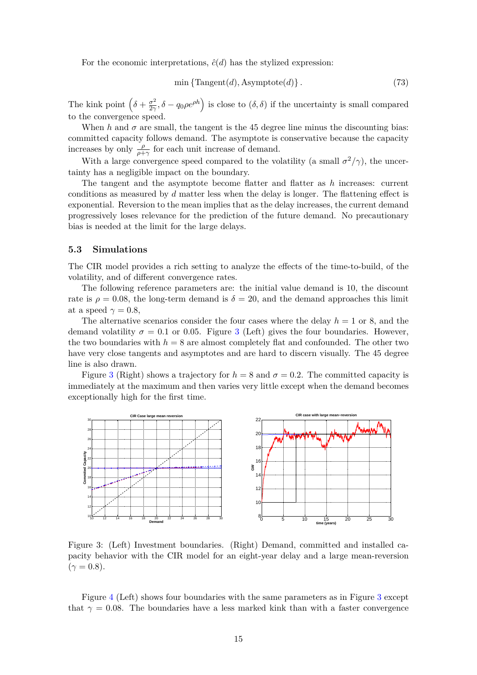For the economic interpretations,  $\hat{c}(d)$  has the stylized expression:

$$
\min\left\{\text{Tangent}(d), \text{Asymptote}(d)\right\}.\tag{73}
$$

The kink point  $\left(\delta + \frac{\sigma^2}{2\gamma}\right)$  $\left(\frac{\sigma^2}{2\gamma}, \delta - q_0 \rho e^{\rho h}\right)$  is close to  $(\delta, \delta)$  if the uncertainty is small compared to the convergence speed.

When *h* and  $\sigma$  are small, the tangent is the 45 degree line minus the discounting bias: committed capacity follows demand. The asymptote is conservative because the capacity increases by only  $\frac{\rho}{\rho + \gamma}$  for each unit increase of demand.

With a large convergence speed compared to the volatility (a small  $\sigma^2/\gamma$ ), the uncertainty has a negligible impact on the boundary.

The tangent and the asymptote become flatter and flatter as *h* increases: current conditions as measured by *d* matter less when the delay is longer. The flattening effect is exponential. Reversion to the mean implies that as the delay increases, the current demand progressively loses relevance for the prediction of the future demand. No precautionary bias is needed at the limit for the large delays.

### **5.3 Simulations**

The CIR model provides a rich setting to analyze the effects of the time-to-build, of the volatility, and of different convergence rates.

The following reference parameters are: the initial value demand is 10, the discount rate is  $\rho = 0.08$ , the long-term demand is  $\delta = 20$ , and the demand approaches this limit at a speed  $\gamma = 0.8$ ,

The alternative scenarios consider the four cases where the delay  $h = 1$  or 8, and the demand volatility  $\sigma = 0.1$  or 0.05. Figure [3](#page-14-0) (Left) gives the four boundaries. However, the two boundaries with  $h = 8$  are almost completely flat and confounded. The other two have very close tangents and asymptotes and are hard to discern visually. The 45 degree line is also drawn.

Figure [3](#page-14-0) (Right) shows a trajectory for  $h = 8$  and  $\sigma = 0.2$ . The committed capacity is immediately at the maximum and then varies very little except when the demand becomes exceptionally high for the first time.



<span id="page-14-0"></span>Figure 3: (Left) Investment boundaries. (Right) Demand, committed and installed capacity behavior with the CIR model for an eight-year delay and a large mean-reversion  $(\gamma = 0.8).$ 

Figure [4](#page-15-2) (Left) shows four boundaries with the same parameters as in Figure [3](#page-14-0) except that  $\gamma = 0.08$ . The boundaries have a less marked kink than with a faster convergence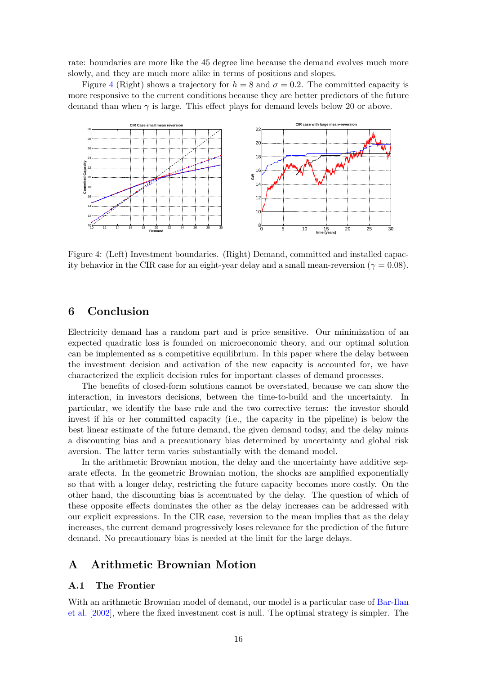rate: boundaries are more like the 45 degree line because the demand evolves much more slowly, and they are much more alike in terms of positions and slopes.

Figure [4](#page-15-2) (Right) shows a trajectory for  $h = 8$  and  $\sigma = 0.2$ . The committed capacity is more responsive to the current conditions because they are better predictors of the future demand than when  $\gamma$  is large. This effect plays for demand levels below 20 or above.



<span id="page-15-2"></span>Figure 4: (Left) Investment boundaries. (Right) Demand, committed and installed capacity behavior in the CIR case for an eight-year delay and a small mean-reversion ( $\gamma = 0.08$ ).

## <span id="page-15-0"></span>**6 Conclusion**

Electricity demand has a random part and is price sensitive. Our minimization of an expected quadratic loss is founded on microeconomic theory, and our optimal solution can be implemented as a competitive equilibrium. In this paper where the delay between the investment decision and activation of the new capacity is accounted for, we have characterized the explicit decision rules for important classes of demand processes.

The benefits of closed-form solutions cannot be overstated, because we can show the interaction, in investors decisions, between the time-to-build and the uncertainty. In particular, we identify the base rule and the two corrective terms: the investor should invest if his or her committed capacity (i.e., the capacity in the pipeline) is below the best linear estimate of the future demand, the given demand today, and the delay minus a discounting bias and a precautionary bias determined by uncertainty and global risk aversion. The latter term varies substantially with the demand model.

In the arithmetic Brownian motion, the delay and the uncertainty have additive separate effects. In the geometric Brownian motion, the shocks are amplified exponentially so that with a longer delay, restricting the future capacity becomes more costly. On the other hand, the discounting bias is accentuated by the delay. The question of which of these opposite effects dominates the other as the delay increases can be addressed with our explicit expressions. In the CIR case, reversion to the mean implies that as the delay increases, the current demand progressively loses relevance for the prediction of the future demand. No precautionary bias is needed at the limit for the large delays.

## <span id="page-15-1"></span>**A Arithmetic Brownian Motion**

## **A.1 The Frontier**

With an arithmetic Brownian model of demand, our model is a particular case of [Bar-Ilan](#page-18-0) [et al.](#page-18-0) [\[2002\]](#page-18-0), where the fixed investment cost is null. The optimal strategy is simpler. The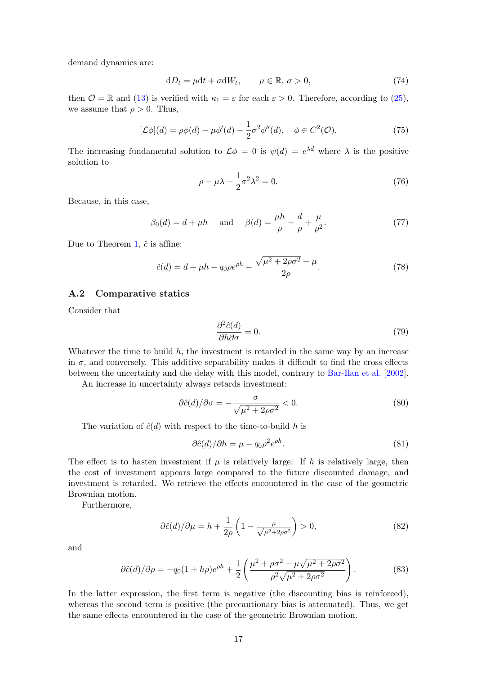demand dynamics are:

$$
dD_t = \mu dt + \sigma dW_t, \qquad \mu \in \mathbb{R}, \sigma > 0,
$$
\n(74)

then  $\mathcal{O} = \mathbb{R}$  and [\(13\)](#page-4-3) is verified with  $\kappa_1 = \varepsilon$  for each  $\varepsilon > 0$ . Therefore, according to [\(25\)](#page-6-2), we assume that  $\rho > 0$ . Thus,

$$
[\mathcal{L}\phi](d) = \rho\phi(d) - \mu\phi'(d) - \frac{1}{2}\sigma^2\phi''(d), \quad \phi \in C^2(\mathcal{O}).\tag{75}
$$

The increasing fundamental solution to  $\mathcal{L}\phi = 0$  is  $\psi(d) = e^{\lambda d}$  where  $\lambda$  is the positive solution to

$$
\rho - \mu \lambda - \frac{1}{2} \sigma^2 \lambda^2 = 0. \tag{76}
$$

Because, in this case,

$$
\beta_0(d) = d + \mu h \quad \text{and} \quad \beta(d) = \frac{\mu h}{\rho} + \frac{d}{\rho} + \frac{\mu}{\rho^2}.
$$
 (77)

Due to Theorem [1,](#page-7-4)  $\hat{c}$  is affine:

$$
\hat{c}(d) = d + \mu h - q_0 \rho e^{\rho h} - \frac{\sqrt{\mu^2 + 2\rho \sigma^2} - \mu}{2\rho}.
$$
\n(78)

## **A.2 Comparative statics**

Consider that

$$
\frac{\partial^2 \hat{c}(d)}{\partial h \partial \sigma} = 0.
$$
 (79)

Whatever the time to build  $h$ , the investment is retarded in the same way by an increase in  $\sigma$ , and conversely. This additive separability makes it difficult to find the cross effects between the uncertainty and the delay with this model, contrary to [Bar-Ilan et al.](#page-18-0) [\[2002\]](#page-18-0).

An increase in uncertainty always retards investment:

$$
\partial \hat{c}(d) / \partial \sigma = -\frac{\sigma}{\sqrt{\mu^2 + 2\rho \sigma^2}} < 0. \tag{80}
$$

The variation of  $\hat{c}(d)$  with respect to the time-to-build h is

$$
\partial \hat{c}(d) / \partial h = \mu - q_0 \rho^2 e^{\rho h}.
$$
\n(81)

The effect is to hasten investment if  $\mu$  is relatively large. If  $h$  is relatively large, then the cost of investment appears large compared to the future discounted damage, and investment is retarded. We retrieve the effects encountered in the case of the geometric Brownian motion.

Furthermore,

$$
\partial \hat{c}(d) / \partial \mu = h + \frac{1}{2\rho} \left( 1 - \frac{\mu}{\sqrt{\mu^2 + 2\rho \sigma^2}} \right) > 0,
$$
\n(82)

and

$$
\partial \hat{c}(d) / \partial \rho = -q_0 (1 + h\rho) e^{\rho h} + \frac{1}{2} \left( \frac{\mu^2 + \rho \sigma^2 - \mu \sqrt{\mu^2 + 2\rho \sigma^2}}{\rho^2 \sqrt{\mu^2 + 2\rho \sigma^2}} \right).
$$
 (83)

In the latter expression, the first term is negative (the discounting bias is reinforced), whereas the second term is positive (the precautionary bias is attenuated). Thus, we get the same effects encountered in the case of the geometric Brownian motion.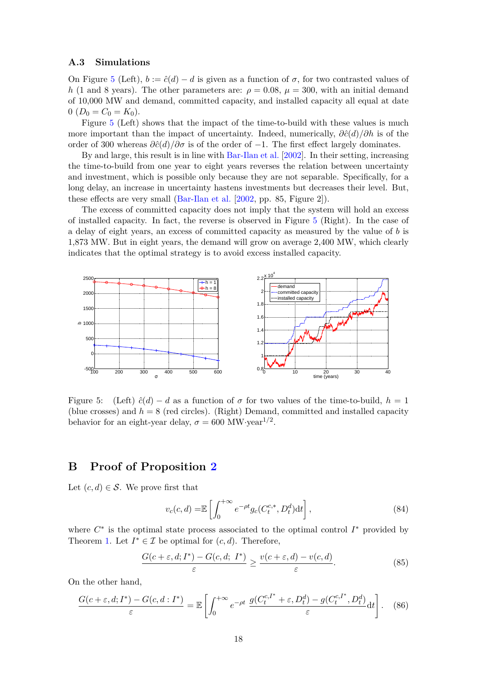### **A.3 Simulations**

On Figure [5](#page-17-1) (Left),  $b := \hat{c}(d) - d$  is given as a function of  $\sigma$ , for two contrasted values of *h* (1 and 8 years). The other parameters are:  $\rho = 0.08$ ,  $\mu = 300$ , with an initial demand of 10,000 MW and demand, committed capacity, and installed capacity all equal at date  $0 (D_0 = C_0 = K_0).$ 

Figure [5](#page-17-1) (Left) shows that the impact of the time-to-build with these values is much more important than the impact of uncertainty. Indeed, numerically,  $\frac{\partial \hat{c}(d)}{\partial h}$  is of the order of 300 whereas  $\frac{\partial \hat{c}(d)}{\partial \sigma}$  is of the order of  $-1$ . The first effect largely dominates.

By and large, this result is in line with [Bar-Ilan et al.](#page-18-0) [\[2002\]](#page-18-0). In their setting, increasing the time-to-build from one year to eight years reverses the relation between uncertainty and investment, which is possible only because they are not separable. Specifically, for a long delay, an increase in uncertainty hastens investments but decreases their level. But, these effects are very small [\(Bar-Ilan et al.](#page-18-0) [\[2002,](#page-18-0) pp. 85, Figure 2]).

The excess of committed capacity does not imply that the system will hold an excess of installed capacity. In fact, the reverse is observed in Figure [5](#page-17-1) (Right). In the case of a delay of eight years, an excess of committed capacity as measured by the value of *b* is 1,873 MW. But in eight years, the demand will grow on average 2,400 MW, which clearly indicates that the optimal strategy is to avoid excess installed capacity.



<span id="page-17-1"></span>Figure 5: (Left)  $\hat{c}(d) - d$  as a function of  $\sigma$  for two values of the time-to-build,  $h = 1$ (blue crosses) and  $h = 8$  (red circles). (Right) Demand, committed and installed capacity behavior for an eight-year delay,  $\sigma = 600$  MW·year<sup>1/2</sup>.

## <span id="page-17-0"></span>**B Proof of Proposition [2](#page-8-4)**

Let  $(c, d) \in \mathcal{S}$ . We prove first that

<span id="page-17-4"></span><span id="page-17-3"></span><span id="page-17-2"></span>
$$
v_c(c,d) = \mathbb{E}\left[\int_0^{+\infty} e^{-\rho t} g_c(C_t^{c,*}, D_t^d) dt\right],
$$
\n(84)

where  $C^*$  is the optimal state process associated to the optimal control  $I^*$  provided by Theorem [1.](#page-7-4) Let  $I^* \in \mathcal{I}$  be optimal for  $(c, d)$ . Therefore,

$$
\frac{G(c+\varepsilon,d;I^*) - G(c,d;I^*)}{\varepsilon} \ge \frac{v(c+\varepsilon,d) - v(c,d)}{\varepsilon}.
$$
\n(85)

On the other hand,

$$
\frac{G(c+\varepsilon,d;I^*) - G(c,d:I^*)}{\varepsilon} = \mathbb{E}\left[\int_0^{+\infty} e^{-\rho t} \frac{g(C_t^{c,I^*} + \varepsilon, D_t^d) - g(C_t^{c,I^*}, D_t^d)}{\varepsilon} dt\right].
$$
 (86)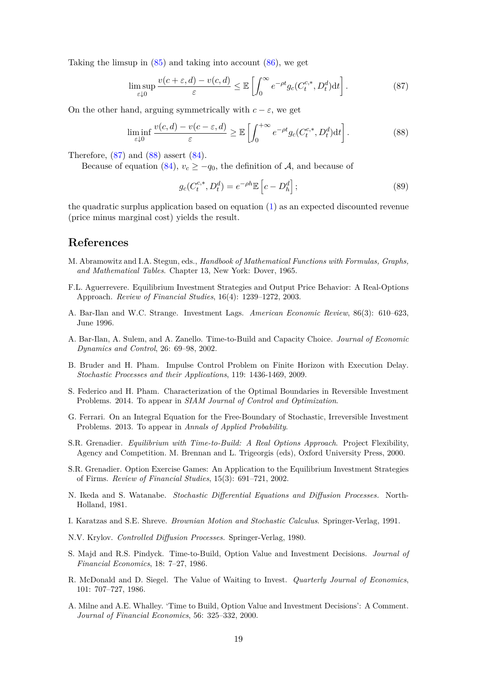Taking the limsup in  $(85)$  and taking into account  $(86)$ , we get

$$
\limsup_{\varepsilon \downarrow 0} \frac{v(c + \varepsilon, d) - v(c, d)}{\varepsilon} \le \mathbb{E} \left[ \int_0^\infty e^{-\rho t} g_c(C_t^{c, *}, D_t^d) dt \right]. \tag{87}
$$

On the other hand, arguing symmetrically with  $c - \varepsilon$ , we get

$$
\liminf_{\varepsilon \downarrow 0} \frac{v(c,d) - v(c - \varepsilon, d)}{\varepsilon} \ge \mathbb{E}\left[\int_0^{+\infty} e^{-\rho t} g_c(C_t^{c, *}, D_t^d) dt\right].
$$
\n(88)

Therefore,  $(87)$  and  $(88)$  assert  $(84)$ .

Because of equation [\(84\)](#page-17-4),  $v_c \geq -q_0$ , the definition of A, and because of

<span id="page-18-15"></span><span id="page-18-14"></span>
$$
g_c(C_t^{c,*}, D_t^d) = e^{-\rho h} \mathbb{E}\left[c - D_h^d\right];\tag{89}
$$

the quadratic surplus application based on equation [\(1\)](#page-2-3) as an expected discounted revenue (price minus marginal cost) yields the result.

## **References**

- <span id="page-18-13"></span>M. Abramowitz and I.A. Stegun, eds., *Handbook of Mathematical Functions with Formulas, Graphs, and Mathematical Tables*. Chapter 13, New York: Dover, 1965.
- <span id="page-18-2"></span>F.L. Aguerrevere. Equilibrium Investment Strategies and Output Price Behavior: A Real-Options Approach. *Review of Financial Studies*, 16(4): 1239–1272, 2003.
- <span id="page-18-1"></span>A. Bar-Ilan and W.C. Strange. Investment Lags. *American Economic Review*, 86(3): 610–623, June 1996.
- <span id="page-18-0"></span>A. Bar-Ilan, A. Sulem, and A. Zanello. Time-to-Build and Capacity Choice. *Journal of Economic Dynamics and Control*, 26: 69–98, 2002.
- <span id="page-18-10"></span>B. Bruder and H. Pham. Impulse Control Problem on Finite Horizon with Execution Delay. *Stochastic Processes and their Applications*, 119: 1436-1469, 2009.
- <span id="page-18-3"></span>S. Federico and H. Pham. Characterization of the Optimal Boundaries in Reversible Investment Problems. 2014. To appear in *SIAM Journal of Control and Optimization*.
- <span id="page-18-12"></span>G. Ferrari. On an Integral Equation for the Free-Boundary of Stochastic, Irreversible Investment Problems. 2013. To appear in *Annals of Applied Probability*.
- <span id="page-18-4"></span>S.R. Grenadier. *Equilibrium with Time-to-Build: A Real Options Approach*. Project Flexibility, Agency and Competition. M. Brennan and L. Trigeorgis (eds), Oxford University Press, 2000.
- <span id="page-18-5"></span>S.R. Grenadier. Option Exercise Games: An Application to the Equilibrium Investment Strategies of Firms. *Review of Financial Studies*, 15(3): 691–721, 2002.
- N. Ikeda and S. Watanabe. *Stochastic Differential Equations and Diffusion Processes.* North-Holland, 1981.
- <span id="page-18-11"></span>I. Karatzas and S.E. Shreve. *Brownian Motion and Stochastic Calculus*. Springer-Verlag, 1991.
- <span id="page-18-9"></span>N.V. Krylov. *Controlled Diffusion Processes.* Springer-Verlag, 1980.
- <span id="page-18-7"></span>S. Majd and R.S. Pindyck. Time-to-Build, Option Value and Investment Decisions. *Journal of Financial Economics*, 18: 7–27, 1986.
- <span id="page-18-6"></span>R. McDonald and D. Siegel. The Value of Waiting to Invest. *Quarterly Journal of Economics*, 101: 707–727, 1986.
- <span id="page-18-8"></span>A. Milne and A.E. Whalley. 'Time to Build, Option Value and Investment Decisions': A Comment. *Journal of Financial Economics*, 56: 325–332, 2000.